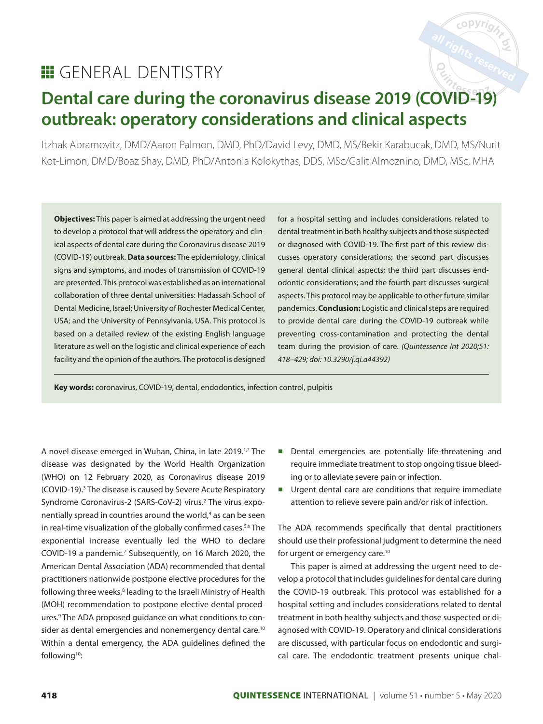# all rights reserved

# **E** GENERAL DENTISTRY

# **Dental care during the coronavirus disease 2019 (COVID-19) outbreak: operatory considerations and clinical aspects**

Itzhak Abramovitz, DMD/Aaron Palmon, DMD, PhD/David Levy, DMD, MS/Bekir Karabucak, DMD, MS/Nurit Kot-Limon, DMD/Boaz Shay, DMD, PhD/Antonia Kolokythas, DDS, MSc/Galit Almoznino, DMD, MSc, MHA

**Objectives:** This paper is aimed at addressing the urgent need to develop a protocol that will address the operatory and clinical aspects of dental care during the Coronavirus disease 2019 (COVID-19) outbreak. **Data sources:** The epidemiology, clinical signs and symptoms, and modes of transmission of COVID-19 are presented. This protocol was established as an international collaboration of three dental universities: Hadassah School of Dental Medicine, Israel; University of Rochester Medical Center, USA; and the University of Pennsylvania, USA. This protocol is based on a detailed review of the existing English language literature as well on the logistic and clinical experience of each facility and the opinion of the authors. The protocol is designed

for a hospital setting and includes considerations related to dental treatment in both healthy subjects and those suspected or diagnosed with COVID-19. The first part of this review discusses operatory considerations; the second part discusses general dental clinical aspects; the third part discusses endodontic considerations; and the fourth part discusses surgical aspects. This protocol may be applicable to other future similar pandemics. **Conclusion:** Logistic and clinical steps are required to provide dental care during the COVID-19 outbreak while preventing cross-contamination and protecting the dental team during the provision of care. (Quintessence Int 2020;51: 418–429; doi: 10.3290/j.qi.a44392)

**Key words:** coronavirus, COVID-19, dental, endodontics, infection control, pulpitis

A novel disease emerged in Wuhan, China, in late 2019.<sup>1,2</sup> The disease was designated by the World Health Organization (WHO) on 12 February 2020, as Coronavirus disease 2019 (COVID-19). 3 The disease is caused by Severe Acute Respiratory Syndrome Coronavirus-2 (SARS-CoV-2) virus.<sup>2</sup> The virus exponentially spread in countries around the world, 4 as can be seen in real-time visualization of the globally confirmed cases.<sup>5,6</sup> The exponential increase eventually led the WHO to declare COVID-19 a pandemic.<sup>7</sup> Subsequently, on 16 March 2020, the American Dental Association (ADA) recommended that dental practitioners nationwide postpone elective procedures for the following three weeks,<sup>8</sup> leading to the Israeli Ministry of Health (MOH) recommendation to postpone elective dental procedures.<sup>9</sup> The ADA proposed guidance on what conditions to consider as dental emergencies and nonemergency dental care.<sup>10</sup> Within a dental emergency, the ADA guidelines defined the following<sup>10</sup>:

- Dental emergencies are potentially life-threatening and require immediate treatment to stop ongoing tissue bleeding or to alleviate severe pain or infection.
- Urgent dental care are conditions that require immediate attention to relieve severe pain and/or risk of infection.

The ADA recommends specifically that dental practitioners should use their professional judgment to determine the need for urgent or emergency care.10

This paper is aimed at addressing the urgent need to develop a protocol that includes guidelines for dental care during the COVID-19 outbreak. This protocol was established for a hospital setting and includes considerations related to dental treatment in both healthy subjects and those suspected or diagnosed with COVID-19. Operatory and clinical considerations are discussed, with particular focus on endodontic and surgical care. The endodontic treatment presents unique chal-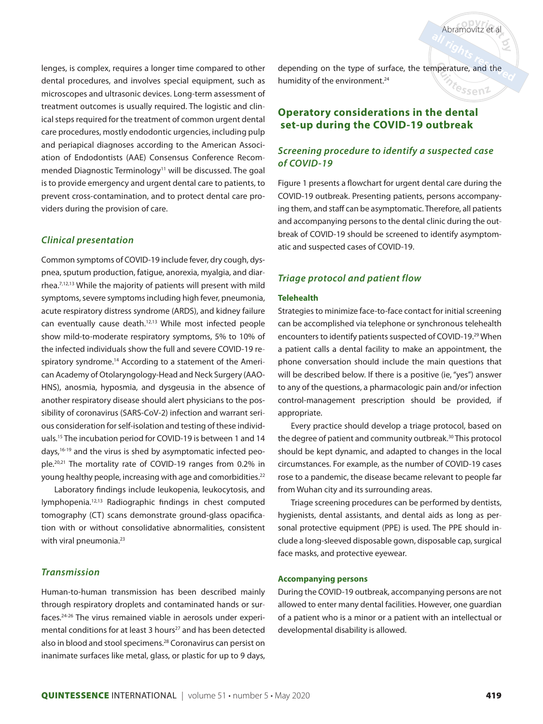depending on the type of surface, the temperature, and the humidity of the environment.<sup>24</sup>

# **Operatory considerations in the dental set-up during the COVID-19 outbreak**

## *Screening procedure to identify a suspected case of COVID-19*

Abramovitz et al

<sup>fe</sup>ssen<sup>2</sup>

Figure 1 presents a flowchart for urgent dental care during the COVID-19 outbreak. Presenting patients, persons accompanying them, and staff can be asymptomatic. Therefore, all patients and accompanying persons to the dental clinic during the outbreak of COVID-19 should be screened to identify asymptomatic and suspected cases of COVID-19.

#### *Triage protocol and patient flow*

#### **Telehealth**

Strategies to minimize face-to-face contact for initial screening can be accomplished via telephone or synchronous telehealth encounters to identify patients suspected of COVID-19. 29 When a patient calls a dental facility to make an appointment, the phone conversation should include the main questions that will be described below. If there is a positive (ie, "yes") answer to any of the questions, a pharmacologic pain and/or infection control-management prescription should be provided, if appropriate.

Every practice should develop a triage protocol, based on the degree of patient and community outbreak.30 This protocol should be kept dynamic, and adapted to changes in the local circumstances. For example, as the number of COVID-19 cases rose to a pandemic, the disease became relevant to people far from Wuhan city and its surrounding areas.

Triage screening procedures can be performed by dentists, hygienists, dental assistants, and dental aids as long as personal protective equipment (PPE) is used. The PPE should include a long-sleeved disposable gown, disposable cap, surgical face masks, and protective eyewear.

#### **Accompanying persons**

During the COVID-19 outbreak, accompanying persons are not allowed to enter many dental facilities. However, one guardian of a patient who is a minor or a patient with an intellectual or developmental disability is allowed.

lenges, is complex, requires a longer time compared to other dental procedures, and involves special equipment, such as microscopes and ultrasonic devices. Long-term assessment of treatment outcomes is usually required. The logistic and clinical steps required for the treatment of common urgent dental care procedures, mostly endodontic urgencies, including pulp and periapical diagnoses according to the American Association of Endodontists (AAE) Consensus Conference Recommended Diagnostic Terminology<sup>11</sup> will be discussed. The goal is to provide emergency and urgent dental care to patients, to prevent cross-contamination, and to protect dental care providers during the provision of care.

#### *Clinical presentation*

Common symptoms of COVID-19 include fever, dry cough, dyspnea, sputum production, fatigue, anorexia, myalgia, and diarrhea.<sup>7,12,13</sup> While the majority of patients will present with mild symptoms, severe symptoms including high fever, pneumonia, acute respiratory distress syndrome (ARDS), and kidney failure can eventually cause death.<sup>12,13</sup> While most infected people show mild-to-moderate respiratory symptoms, 5% to 10% of the infected individuals show the full and severe COVID-19 respiratory syndrome.<sup>14</sup> According to a statement of the American Academy of Otolaryngology-Head and Neck Surgery (AAO-HNS), anosmia, hyposmia, and dysgeusia in the absence of another respiratory disease should alert physicians to the possibility of coronavirus (SARS-CoV-2) infection and warrant serious consideration for self-isolation and testing of these individuals. <sup>15</sup> The incubation period for COVID-19 is between 1 and 14 days, 16-19 and the virus is shed by asymptomatic infected people. 20,21 The mortality rate of COVID-19 ranges from 0.2% in young healthy people, increasing with age and comorbidities.<sup>22</sup>

Laboratory findings include leukopenia, leukocytosis, and lymphopenia.<sup>12,13</sup> Radiographic findings in chest computed tomography (CT) scans demonstrate ground-glass opacification with or without consolidative abnormalities, consistent with viral pneumonia.<sup>23</sup>

#### *Transmission*

Human-to-human transmission has been described mainly through respiratory droplets and contaminated hands or surfaces. 24-26 The virus remained viable in aerosols under experimental conditions for at least 3 hours<sup>27</sup> and has been detected also in blood and stool specimens. 28 Coronavirus can persist on inanimate surfaces like metal, glass, or plastic for up to 9 days,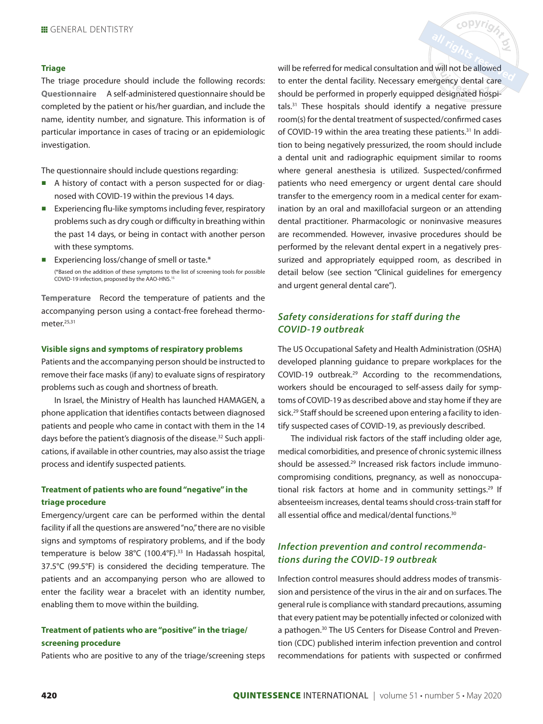#### **Triage**

The triage procedure should include the following records: **Questionnaire** A self-administered questionnaire should be completed by the patient or his/her guardian, and include the name, identity number, and signature. This information is of particular importance in cases of tracing or an epidemiologic investigation.

The questionnaire should include questions regarding:

- A history of contact with a person suspected for or diagnosed with COVID-19 within the previous 14 days.
- Experiencing flu-like symptoms including fever, respiratory problems such as dry cough or difficulty in breathing within the past 14 days, or being in contact with another person with these symptoms.
- Experiencing loss/change of smell or taste.<sup>\*</sup> (\*Based on the addition of these symptoms to the list of screening tools for possible COVID-19 infection, proposed by the AAO-HNS. 15

**Temperature** Record the temperature of patients and the accompanying person using a contact-free forehead thermometer.<sup>25,31</sup>

#### **Visible signs and symptoms of respiratory problems**

Patients and the accompanying person should be instructed to remove their face masks (if any) to evaluate signs of respiratory problems such as cough and shortness of breath.

In Israel, the Ministry of Health has launched HAMAGEN, a phone application that identifies contacts between diagnosed patients and people who came in contact with them in the 14 days before the patient's diagnosis of the disease.<sup>32</sup> Such applications, if available in other countries, may also assist the triage process and identify suspected patients.

#### **Treatment of patients who are found "negative" in the triage procedure**

Emergency/urgent care can be performed within the dental facility if all the questions are answered "no," there are no visible signs and symptoms of respiratory problems, and if the body temperature is below 38°C (100.4°F). 33 In Hadassah hospital, 37.5°C (99.5°F) is considered the deciding temperature. The patients and an accompanying person who are allowed to enter the facility wear a bracelet with an identity number, enabling them to move within the building.

## **Treatment of patients who are "positive" in the triage/ screening procedure**

Patients who are positive to any of the triage/screening steps

will be referred for medical consultation and will not be allowed to enter the dental facility. Necessary emergency dental care should be performed in properly equipped designated hospitals.<sup>31</sup> These hospitals should identify a negative pressure room(s) for the dental treatment of suspected/confirmed cases of COVID-19 within the area treating these patients.<sup>31</sup> In addition to being negatively pressurized, the room should include a dental unit and radiographic equipment similar to rooms where general anesthesia is utilized. Suspected/confirmed patients who need emergency or urgent dental care should transfer to the emergency room in a medical center for examination by an oral and maxillofacial surgeon or an attending dental practitioner. Pharmacologic or noninvasive measures are recommended. However, invasive procedures should be performed by the relevant dental expert in a negatively pressurized and appropriately equipped room, as described in detail below (see section "Clinical guidelines for emergency and urgent general dental care").

copyright

# *Safety considerations for staff during the COVID-19 outbreak*

The US Occupational Safety and Health Administration (OSHA) developed planning guidance to prepare workplaces for the COVID-19 outbreak. 29 According to the recommendations, workers should be encouraged to self-assess daily for symptoms of COVID-19 as described above and stay home if they are sick.29 Staff should be screened upon entering a facility to identify suspected cases of COVID-19, as previously described.

The individual risk factors of the staff including older age, medical comorbidities, and presence of chronic systemic illness should be assessed.<sup>29</sup> Increased risk factors include immunocompromising conditions, pregnancy, as well as nonoccupational risk factors at home and in community settings.<sup>29</sup> If absenteeism increases, dental teams should cross-train staff for all essential office and medical/dental functions.<sup>30</sup>

## *Infection prevention and control recommendations during the COVID-19 outbreak*

Infection control measures should address modes of transmission and persistence of the virus in the air and on surfaces. The general rule is compliance with standard precautions, assuming that every patient may be potentially infected or colonized with a pathogen.<sup>30</sup> The US Centers for Disease Control and Prevention (CDC) published interim infection prevention and control recommendations for patients with suspected or confirmed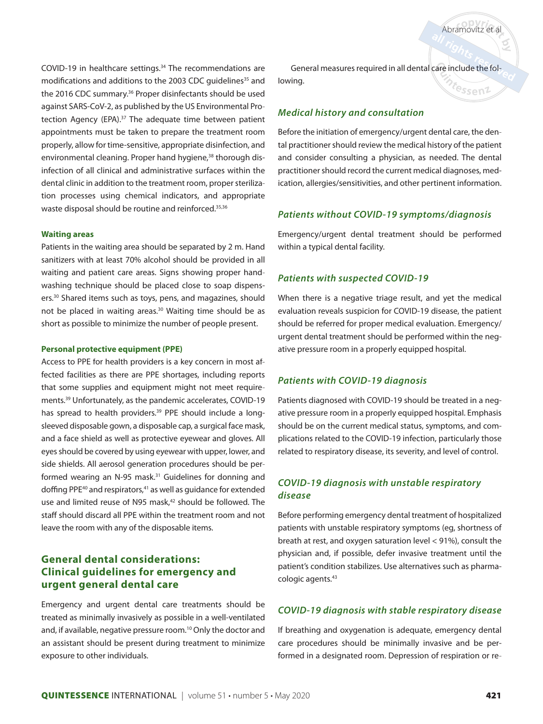COVID-19 in healthcare settings. 34 The recommendations are modifications and additions to the 2003 CDC quidelines<sup>35</sup> and the 2016 CDC summary. <sup>36</sup> Proper disinfectants should be used against SARS-CoV-2, as published by the US Environmental Protection Agency (EPA).<sup>37</sup> The adequate time between patient appointments must be taken to prepare the treatment room properly, allow for time-sensitive, appropriate disinfection, and environmental cleaning. Proper hand hygiene,<sup>38</sup> thorough disinfection of all clinical and administrative surfaces within the dental clinic in addition to the treatment room, proper sterilization processes using chemical indicators, and appropriate waste disposal should be routine and reinforced.<sup>35,36</sup>

#### **Waiting areas**

Patients in the waiting area should be separated by 2 m. Hand sanitizers with at least 70% alcohol should be provided in all waiting and patient care areas. Signs showing proper handwashing technique should be placed close to soap dispensers. <sup>30</sup> Shared items such as toys, pens, and magazines, should not be placed in waiting areas.<sup>30</sup> Waiting time should be as short as possible to minimize the number of people present.

#### **Personal protective equipment (PPE)**

Access to PPE for health providers is a key concern in most affected facilities as there are PPE shortages, including reports that some supplies and equipment might not meet requirements. 39 Unfortunately, as the pandemic accelerates, COVID-19 has spread to health providers.<sup>39</sup> PPE should include a longsleeved disposable gown, a disposable cap, a surgical face mask, and a face shield as well as protective eyewear and gloves. All eyes should be covered by using eyewear with upper, lower, and side shields. All aerosol generation procedures should be performed wearing an N-95 mask.<sup>31</sup> Guidelines for donning and doffing PPE<sup>40</sup> and respirators,<sup>41</sup> as well as quidance for extended use and limited reuse of N95 mask, 42 should be followed. The staff should discard all PPE within the treatment room and not leave the room with any of the disposable items.

# **General dental considerations: Clinical guidelines for emergency and urgent general dental care**

Emergency and urgent dental care treatments should be treated as minimally invasively as possible in a well-ventilated and, if available, negative pressure room.<sup>10</sup> Only the doctor and an assistant should be present during treatment to minimize exposure to other individuals.

General measures required in all dental care include the following. <sup>r</sup>essenz

## *Medical history and consultation*

Before the initiation of emergency/urgent dental care, the dental practitioner should review the medical history of the patient and consider consulting a physician, as needed. The dental practitioner should record the current medical diagnoses, medication, allergies/sensitivities, and other pertinent information.

#### *Patients without COVID-19 symptoms/diagnosis*

Emergency/urgent dental treatment should be performed within a typical dental facility.

#### *Patients with suspected COVID-19*

When there is a negative triage result, and yet the medical evaluation reveals suspicion for COVID-19 disease, the patient should be referred for proper medical evaluation. Emergency/ urgent dental treatment should be performed within the negative pressure room in a properly equipped hospital.

#### *Patients with COVID-19 diagnosis*

Patients diagnosed with COVID-19 should be treated in a negative pressure room in a properly equipped hospital. Emphasis should be on the current medical status, symptoms, and complications related to the COVID-19 infection, particularly those related to respiratory disease, its severity, and level of control.

# *COVID-19 diagnosis with unstable respiratory disease*

Before performing emergency dental treatment of hospitalized patients with unstable respiratory symptoms (eg, shortness of breath at rest, and oxygen saturation level < 91%), consult the physician and, if possible, defer invasive treatment until the patient's condition stabilizes. Use alternatives such as pharmacologic agents.43

#### *COVID-19 diagnosis with stable respiratory disease*

If breathing and oxygenation is adequate, emergency dental care procedures should be minimally invasive and be performed in a designated room. Depression of respiration or re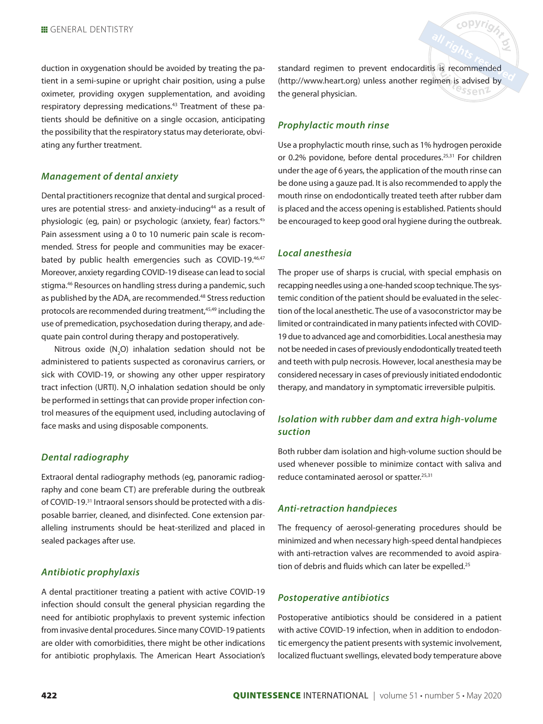duction in oxygenation should be avoided by treating the patient in a semi-supine or upright chair position, using a pulse oximeter, providing oxygen supplementation, and avoiding respiratory depressing medications.<sup>43</sup> Treatment of these patients should be definitive on a single occasion, anticipating the possibility that the respiratory status may deteriorate, obviating any further treatment.

#### *Management of dental anxiety*

Dental practitioners recognize that dental and surgical procedures are potential stress- and anxiety-inducing<sup>44</sup> as a result of physiologic (eg, pain) or psychologic (anxiety, fear) factors. 45 Pain assessment using a 0 to 10 numeric pain scale is recommended. Stress for people and communities may be exacerbated by public health emergencies such as COVID-19.46,47 Moreover, anxiety regarding COVID-19 disease can lead to social stigma.46 Resources on handling stress during a pandemic, such as published by the ADA, are recommended.<sup>48</sup> Stress reduction protocols are recommended during treatment, 45,49 including the use of premedication, psychosedation during therapy, and adequate pain control during therapy and postoperatively.

Nitrous oxide  $(N_2O)$  inhalation sedation should not be administered to patients suspected as coronavirus carriers, or sick with COVID-19, or showing any other upper respiratory tract infection (URTI).  $N_2O$  inhalation sedation should be only be performed in settings that can provide proper infection control measures of the equipment used, including autoclaving of face masks and using disposable components.

#### *Dental radiography*

Extraoral dental radiography methods (eg, panoramic radiography and cone beam CT) are preferable during the outbreak of COVID-19.<sup>31</sup> Intraoral sensors should be protected with a disposable barrier, cleaned, and disinfected. Cone extension paralleling instruments should be heat-sterilized and placed in sealed packages after use.

# *Antibiotic prophylaxis*

A dental practitioner treating a patient with active COVID-19 infection should consult the general physician regarding the need for antibiotic prophylaxis to prevent systemic infection from invasive dental procedures. Since many COVID-19 patients are older with comorbidities, there might be other indications for antibiotic prophylaxis. The American Heart Association's

standard regimen to prevent endocarditis is recommended (http://www.heart.org) unless another regimen is advised by  $3$ sen $7$ the general physician.

copyrig

# *Prophylactic mouth rinse*

Use a prophylactic mouth rinse, such as 1% hydrogen peroxide or 0.2% povidone, before dental procedures. 25,31 For children under the age of 6 years, the application of the mouth rinse can be done using a gauze pad. It is also recommended to apply the mouth rinse on endodontically treated teeth after rubber dam is placed and the access opening is established. Patients should be encouraged to keep good oral hygiene during the outbreak.

#### *Local anesthesia*

The proper use of sharps is crucial, with special emphasis on recapping needles using a one-handed scoop technique. The systemic condition of the patient should be evaluated in the selection of the local anesthetic. The use of a vasoconstrictor may be limited or contraindicated in many patients infected with COVID-19 due to advanced age and comorbidities. Local anesthesia may not be needed in cases of previously endodontically treated teeth and teeth with pulp necrosis. However, local anesthesia may be considered necessary in cases of previously initiated endodontic therapy, and mandatory in symptomatic irreversible pulpitis.

# *Isolation with rubber dam and extra high-volume suction*

Both rubber dam isolation and high-volume suction should be used whenever possible to minimize contact with saliva and reduce contaminated aerosol or spatter.<sup>25,31</sup>

#### *Anti-retraction handpieces*

The frequency of aerosol-generating procedures should be minimized and when necessary high-speed dental handpieces with anti-retraction valves are recommended to avoid aspiration of debris and fluids which can later be expelled.<sup>25</sup>

# *Postoperative antibiotics*

Postoperative antibiotics should be considered in a patient with active COVID-19 infection, when in addition to endodontic emergency the patient presents with systemic involvement, localized fluctuant swellings, elevated body temperature above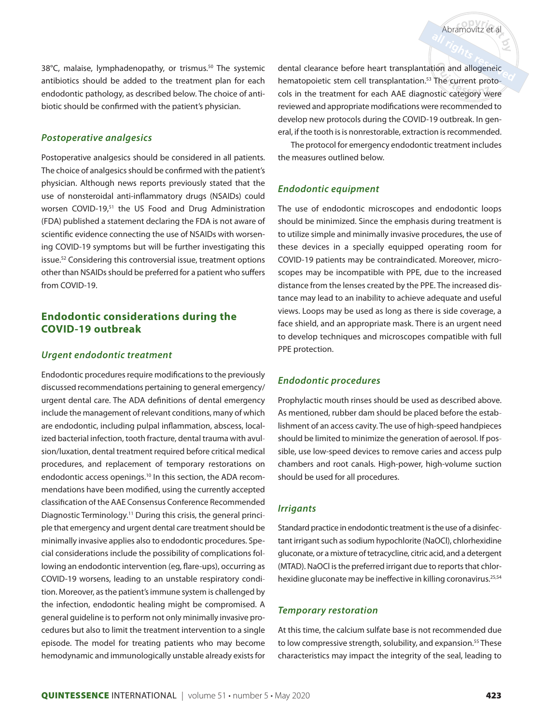38°C, malaise, lymphadenopathy, or trismus.<sup>50</sup> The systemic antibiotics should be added to the treatment plan for each endodontic pathology, as described below. The choice of antibiotic should be confirmed with the patient's physician.

#### *Postoperative analgesics*

Postoperative analgesics should be considered in all patients. The choice of analgesics should be confirmed with the patient's physician. Although news reports previously stated that the use of nonsteroidal anti-inflammatory drugs (NSAIDs) could worsen COVID-19,<sup>51</sup> the US Food and Drug Administration (FDA) published a statement declaring the FDA is not aware of scientific evidence connecting the use of NSAIDs with worsening COVID-19 symptoms but will be further investigating this issue. 52 Considering this controversial issue, treatment options other than NSAIDs should be preferred for a patient who suffers from COVID-19.

# **Endodontic considerations during the COVID-19 outbreak**

#### *Urgent endodontic treatment*

Endodontic procedures require modifications to the previously discussed recommendations pertaining to general emergency/ urgent dental care. The ADA definitions of dental emergency include the management of relevant conditions, many of which are endodontic, including pulpal inflammation, abscess, localized bacterial infection, tooth fracture, dental trauma with avulsion/luxation, dental treatment required before critical medical procedures, and replacement of temporary restorations on endodontic access openings.<sup>10</sup> In this section, the ADA recommendations have been modified, using the currently accepted classification of the AAE Consensus Conference Recommended Diagnostic Terminology.<sup>11</sup> During this crisis, the general principle that emergency and urgent dental care treatment should be minimally invasive applies also to endodontic procedures. Special considerations include the possibility of complications following an endodontic intervention (eg, flare-ups), occurring as COVID-19 worsens, leading to an unstable respiratory condition. Moreover, as the patient's immune system is challenged by the infection, endodontic healing might be compromised. A general guideline is to perform not only minimally invasive procedures but also to limit the treatment intervention to a single episode. The model for treating patients who may become hemodynamic and immunologically unstable already exists for

dental clearance before heart transplantation and allogeneic hematopoietic stem cell transplantation. 53 The current protocols in the treatment for each AAE diagnostic category were reviewed and appropriate modifications were recommended to develop new protocols during the COVID-19 outbreak. In general, if the tooth is is nonrestorable, extraction is recommended.

Abramovitz et al

The protocol for emergency endodontic treatment includes the measures outlined below.

#### *Endodontic equipment*

The use of endodontic microscopes and endodontic loops should be minimized. Since the emphasis during treatment is to utilize simple and minimally invasive procedures, the use of these devices in a specially equipped operating room for COVID-19 patients may be contraindicated. Moreover, microscopes may be incompatible with PPE, due to the increased distance from the lenses created by the PPE. The increased distance may lead to an inability to achieve adequate and useful views. Loops may be used as long as there is side coverage, a face shield, and an appropriate mask. There is an urgent need to develop techniques and microscopes compatible with full PPE protection.

#### *Endodontic procedures*

Prophylactic mouth rinses should be used as described above. As mentioned, rubber dam should be placed before the establishment of an access cavity. The use of high-speed handpieces should be limited to minimize the generation of aerosol. If possible, use low-speed devices to remove caries and access pulp chambers and root canals. High-power, high-volume suction should be used for all procedures.

#### *Irrigants*

Standard practice in endodontic treatment is the use of a disinfectant irrigant such as sodium hypochlorite (NaOCl), chlorhexidine gluconate, or a mixture of tetracycline, citric acid, and a detergent (MTAD). NaOCl is the preferred irrigant due to reports that chlorhexidine gluconate may be ineffective in killing coronavirus.<sup>25,54</sup>

#### *Temporary restoration*

At this time, the calcium sulfate base is not recommended due to low compressive strength, solubility, and expansion.<sup>55</sup> These characteristics may impact the integrity of the seal, leading to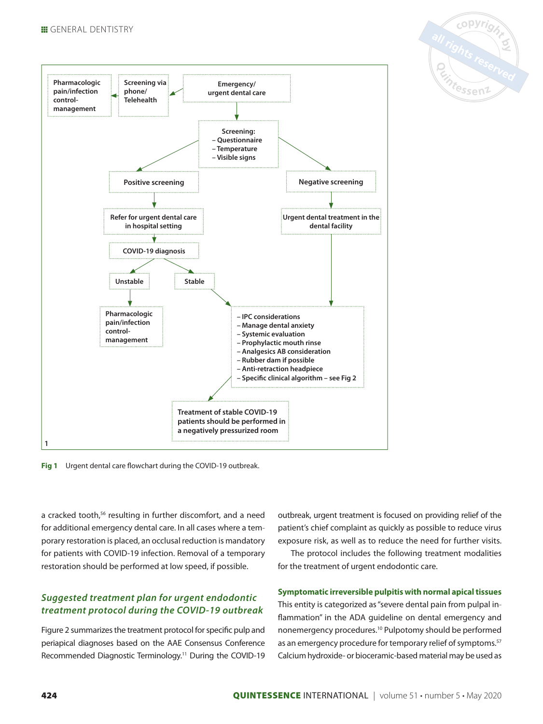

**Fig 1** Urgent dental care flowchart during the COVID-19 outbreak.

a cracked tooth,<sup>56</sup> resulting in further discomfort, and a need for additional emergency dental care. In all cases where a temporary restoration is placed, an occlusal reduction is mandatory for patients with COVID-19 infection. Removal of a temporary restoration should be performed at low speed, if possible.

# *Suggested treatment plan for urgent endodontic treatment protocol during the COVID-19 outbreak*

Figure 2 summarizes the treatment protocol for specific pulp and periapical diagnoses based on the AAE Consensus Conference Recommended Diagnostic Terminology.<sup>11</sup> During the COVID-19

outbreak, urgent treatment is focused on providing relief of the patient's chief complaint as quickly as possible to reduce virus exposure risk, as well as to reduce the need for further visits.

all rights reserved

The protocol includes the following treatment modalities for the treatment of urgent endodontic care.

#### **Symptomatic irreversible pulpitis with normal apical tissues**

This entity is categorized as "severe dental pain from pulpal inflammation" in the ADA guideline on dental emergency and nonemergency procedures. 10 Pulpotomy should be performed as an emergency procedure for temporary relief of symptoms.<sup>57</sup> Calcium hydroxide- or bioceramic-based material may be used as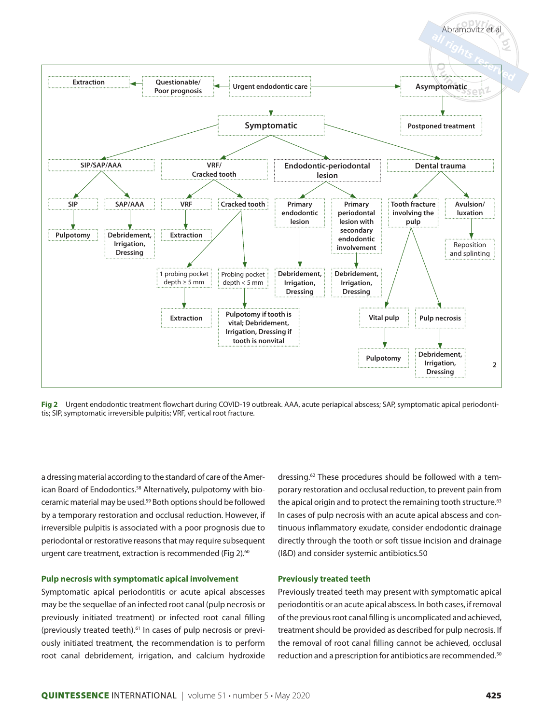

**Fig 2** Urgent endodontic treatment flowchart during COVID-19 outbreak. AAA, acute periapical abscess; SAP, symptomatic apical periodontitis; SIP, symptomatic irreversible pulpitis; VRF, vertical root fracture.

a dressing material according to the standard of care of the American Board of Endodontics.<sup>58</sup> Alternatively, pulpotomy with bioceramic material may be used.<sup>59</sup> Both options should be followed by a temporary restoration and occlusal reduction. However, if irreversible pulpitis is associated with a poor prognosis due to periodontal or restorative reasons that may require subsequent urgent care treatment, extraction is recommended (Fig 2).<sup>60</sup>

#### **Pulp necrosis with symptomatic apical involvement**

Symptomatic apical periodontitis or acute apical abscesses may be the sequellae of an infected root canal (pulp necrosis or previously initiated treatment) or infected root canal filling (previously treated teeth).61 In cases of pulp necrosis or previously initiated treatment, the recommendation is to perform root canal debridement, irrigation, and calcium hydroxide

dressing. 62 These procedures should be followed with a temporary restoration and occlusal reduction, to prevent pain from the apical origin and to protect the remaining tooth structure.<sup>63</sup> In cases of pulp necrosis with an acute apical abscess and continuous inflammatory exudate, consider endodontic drainage directly through the tooth or soft tissue incision and drainage (I&D) and consider systemic antibiotics.50

#### **Previously treated teeth**

Previously treated teeth may present with symptomatic apical periodontitis or an acute apical abscess. In both cases, if removal of the previous root canal filling is uncomplicated and achieved, treatment should be provided as described for pulp necrosis. If the removal of root canal filling cannot be achieved, occlusal reduction and a prescription for antibiotics are recommended.<sup>50</sup>

Abramovitz et al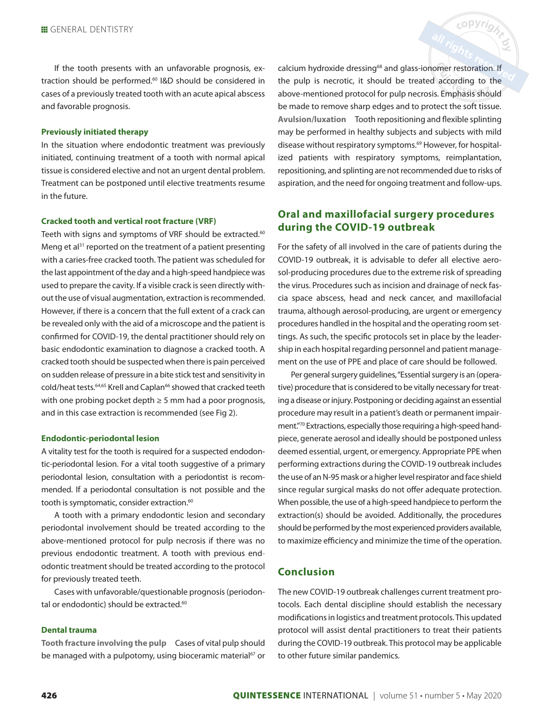If the tooth presents with an unfavorable prognosis, extraction should be performed. 60 I&D should be considered in cases of a previously treated tooth with an acute apical abscess and favorable prognosis.

#### **Previously initiated therapy**

In the situation where endodontic treatment was previously initiated, continuing treatment of a tooth with normal apical tissue is considered elective and not an urgent dental problem. Treatment can be postponed until elective treatments resume in the future.

#### **Cracked tooth and vertical root fracture (VRF)**

Teeth with signs and symptoms of VRF should be extracted.<sup>60</sup> Meng et al<sup>31</sup> reported on the treatment of a patient presenting with a caries-free cracked tooth. The patient was scheduled for the last appointment of the day and a high-speed handpiece was used to prepare the cavity. If a visible crack is seen directly without the use of visual augmentation, extraction is recommended. However, if there is a concern that the full extent of a crack can be revealed only with the aid of a microscope and the patient is confirmed for COVID-19, the dental practitioner should rely on basic endodontic examination to diagnose a cracked tooth. A cracked tooth should be suspected when there is pain perceived on sudden release of pressure in a bite stick test and sensitivity in cold/heat tests.<sup>64,65</sup> Krell and Caplan<sup>66</sup> showed that cracked teeth with one probing pocket depth  $\geq 5$  mm had a poor prognosis, and in this case extraction is recommended (see Fig 2).

#### **Endodontic-periodontal lesion**

A vitality test for the tooth is required for a suspected endodontic-periodontal lesion. For a vital tooth suggestive of a primary periodontal lesion, consultation with a periodontist is recommended. If a periodontal consultation is not possible and the tooth is symptomatic, consider extraction.<sup>60</sup>

A tooth with a primary endodontic lesion and secondary periodontal involvement should be treated according to the above-mentioned protocol for pulp necrosis if there was no previous endodontic treatment. A tooth with previous endodontic treatment should be treated according to the protocol for previously treated teeth.

Cases with unfavorable/questionable prognosis (periodontal or endodontic) should be extracted.<sup>60</sup>

#### **Dental trauma**

**Tooth fracture involving the pulp** Cases of vital pulp should be managed with a pulpotomy, using bioceramic material<sup>67</sup> or

calcium hydroxide dressing<sup>68</sup> and glass-ionomer restoration. If the pulp is necrotic, it should be treated according to the above-mentioned protocol for pulp necrosis. Emphasis should be made to remove sharp edges and to protect the soft tissue. **Avulsion/luxation** Tooth repositioning and flexible splinting may be performed in healthy subjects and subjects with mild disease without respiratory symptoms.<sup>69</sup> However, for hospitalized patients with respiratory symptoms, reimplantation, repositioning, and splinting are not recommended due to risks of aspiration, and the need for ongoing treatment and follow-ups.

copyright

# **Oral and maxillofacial surgery procedures during the COVID-19 outbreak**

For the safety of all involved in the care of patients during the COVID-19 outbreak, it is advisable to defer all elective aerosol-producing procedures due to the extreme risk of spreading the virus. Procedures such as incision and drainage of neck fascia space abscess, head and neck cancer, and maxillofacial trauma, although aerosol-producing, are urgent or emergency procedures handled in the hospital and the operating room settings. As such, the specific protocols set in place by the leadership in each hospital regarding personnel and patient management on the use of PPE and place of care should be followed.

Per general surgery guidelines, "Essential surgery is an (operative) procedure that is considered to be vitally necessary for treating a disease or injury. Postponing or deciding against an essential procedure may result in a patient's death or permanent impairment."70 Extractions, especially those requiring a high-speed handpiece, generate aerosol and ideally should be postponed unless deemed essential, urgent, or emergency. Appropriate PPE when performing extractions during the COVID-19 outbreak includes the use of an N-95 mask or a higher level respirator and face shield since regular surgical masks do not offer adequate protection. When possible, the use of a high-speed handpiece to perform the extraction(s) should be avoided. Additionally, the procedures should be performed by the most experienced providers available, to maximize efficiency and minimize the time of the operation.

#### **Conclusion**

The new COVID-19 outbreak challenges current treatment protocols. Each dental discipline should establish the necessary modifications in logistics and treatment protocols. This updated protocol will assist dental practitioners to treat their patients during the COVID-19 outbreak. This protocol may be applicable to other future similar pandemics.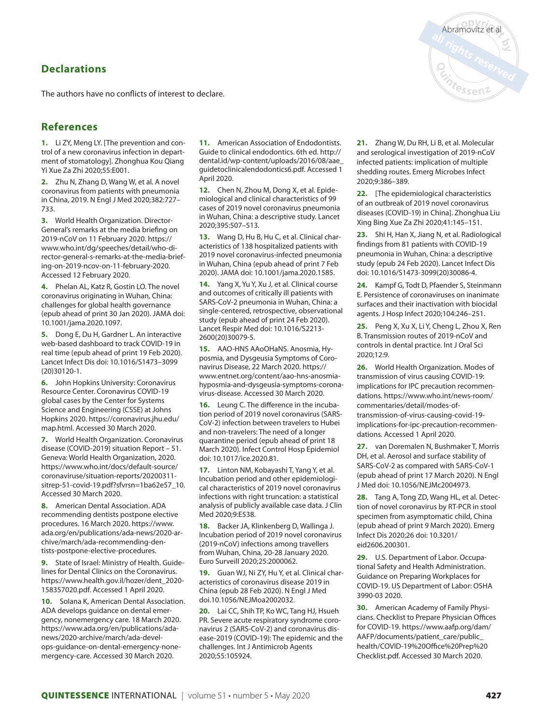# **Declarations**

The authors have no conflicts of interest to declare.

# **References**

**1.** Li ZY, Meng LY. [The prevention and control of a new coronavirus infection in department of stomatology]. Zhonghua Kou Qiang Yi Xue Za Zhi 2020;55:E001.

**2.** Zhu N, Zhang D, Wang W, et al. A novel coronavirus from patients with pneumonia in China, 2019. N Engl J Med 2020;382:727– 733.

**3.** World Health Organization. Director-General's remarks at the media briefing on 2019-nCoV on 11 February 2020. https:// www.who.int/dg/speeches/detail/who-director-general-s-remarks-at-the-media-briefing-on-2019-ncov-on-11-february-2020. Accessed 12 February 2020.

**4.** Phelan AL, Katz R, Gostin LO. The novel coronavirus originating in Wuhan, China: challenges for global health governance (epub ahead of print 30 Jan 2020). JAMA doi: 10.1001/jama.2020.1097.

**5.** Dong E, Du H, Gardner L. An interactive web-based dashboard to track COVID-19 in real time (epub ahead of print 19 Feb 2020). Lancet Infect Dis doi: 10.1016/S1473–3099 (20)30120-1.

**6.** John Hopkins University: Coronavirus Resource Center. Coronavirus COVID-19 global cases by the Center for Systems Science and Engineering (CSSE) at Johns Hopkins 2020. https://coronavirus.jhu.edu/ map.html. Accessed 30 March 2020.

**7.** World Health Organization. Coronavirus disease (COVID-2019) situation Report – 51. Geneva: World Health Organization, 2020. https://www.who.int/docs/default-source/ coronaviruse/situation-reports/20200311 sitrep-51-covid-19.pdf?sfvrsn=1ba62e57\_10. Accessed 30 March 2020.

**8.** American Dental Association. ADA recommending dentists postpone elective procedures. 16 March 2020. https://www. ada.org/en/publications/ada-news/2020-archive/march/ada-recommending-dentists-postpone-elective-procedures.

**9.** State of Israel: Ministry of Health. Guidelines for Dental Clinics on the Coronavirus. https://www.health.gov.il/hozer/dent\_2020- 158357020.pdf. Accessed 1 April 2020.

**10.** Solana K, American Dental Association. ADA develops guidance on dental emergency, nonemergency care. 18 March 2020. https://www.ada.org/en/publications/adanews/2020-archive/march/ada-develops-guidance-on-dental-emergency-nonemergency-care. Accessed 30 March 2020.

**11.** American Association of Endodontists. Guide to clinical endodontics. 6th ed. http:// dental.id/wp-content/uploads/2016/08/aae\_ guidetoclinicalendodontics6.pdf. Accessed 1 April 2020.

**12.** Chen N, Zhou M, Dong X, et al. Epidemiological and clinical characteristics of 99 cases of 2019 novel coronavirus pneumonia in Wuhan, China: a descriptive study. Lancet 2020;395:507–513.

**13.** Wang D, Hu B, Hu C, et al. Clinical characteristics of 138 hospitalized patients with 2019 novel coronavirus-infected pneumonia in Wuhan, China (epub ahead of print 7 Feb 2020). JAMA doi: 10.1001/jama.2020.1585.

**14.** Yang X, Yu Y, Xu J, et al. Clinical course and outcomes of critically ill patients with SARS-CoV-2 pneumonia in Wuhan, China: a single-centered, retrospective, observational study (epub ahead of print 24 Feb 2020). Lancet Respir Med doi: 10.1016/S2213- 2600(20)30079-5.

**15.** AAO-HNS AAoOHaNS. Anosmia, Hyposmia, and Dysgeusia Symptoms of Coronavirus Disease, 22 March 2020. https:// www.entnet.org/content/aao-hns-anosmiahyposmia-and-dysgeusia-symptoms-coronavirus-disease. Accessed 30 March 2020.

**16.** Leung C. The difference in the incubation period of 2019 novel coronavirus (SARS-CoV-2) infection between travelers to Hubei and non-travelers: The need of a longer quarantine period (epub ahead of print 18 March 2020). Infect Control Hosp Epidemiol doi: 10.1017/ice.2020.81.

**17.** Linton NM, Kobayashi T, Yang Y, et al. Incubation period and other epidemiological characteristics of 2019 novel coronavirus infections with right truncation: a statistical analysis of publicly available case data. J Clin Med 2020;9:E538.

**18.** Backer JA, Klinkenberg D, Wallinga J. Incubation period of 2019 novel coronavirus (2019-nCoV) infections among travellers from Wuhan, China, 20-28 January 2020. Euro Surveill 2020;25:2000062.

**19.** Guan WJ, Ni ZY, Hu Y, et al. Clinical characteristics of coronavirus disease 2019 in China (epub 28 Feb 2020). N Engl J Med doi.10.1056/NEJMoa2002032.

**20.** Lai CC, Shih TP, Ko WC, Tang HJ, Hsueh PR. Severe acute respiratory syndrome coronavirus 2 (SARS-CoV-2) and coronavirus disease-2019 (COVID-19): The epidemic and the challenges. Int J Antimicrob Agents 2020;55:105924.

**21.** Zhang W, Du RH, Li B, et al. Molecular and serological investigation of 2019-nCoV infected patients: implication of multiple shedding routes. Emerg Microbes Infect 2020;9:386–389.

**22.** [The epidemiological characteristics of an outbreak of 2019 novel coronavirus diseases (COVID-19) in China]. Zhonghua Liu Xing Bing Xue Za Zhi 2020;41:145–151.

**23.** Shi H, Han X, Jiang N, et al. Radiological findings from 81 patients with COVID-19 pneumonia in Wuhan, China: a descriptive study (epub 24 Feb 2020). Lancet Infect Dis doi: 10.1016/S1473-3099(20)30086-4.

**24.** Kampf G, Todt D, Pfaender S, Steinmann E. Persistence of coronaviruses on inanimate surfaces and their inactivation with biocidal agents. J Hosp Infect 2020;104:246–251.

**25.** Peng X, Xu X, Li Y, Cheng L, Zhou X, Ren B. Transmission routes of 2019-nCoV and controls in dental practice. Int J Oral Sci 2020;12:9.

**26.** World Health Organization. Modes of transmission of virus causing COVID-19: implications for IPC precaution recommendations. https://www.who.int/news-room/ commentaries/detail/modes-oftransmission-of-virus-causing-covid-19 implications-for-ipc-precaution-recommendations. Accessed 1 April 2020.

**27.** van Doremalen N, Bushmaker T, Morris DH, et al. Aerosol and surface stability of SARS-CoV-2 as compared with SARS-CoV-1 (epub ahead of print 17 March 2020). N Engl J Med doi: 10.1056/NEJMc2004973.

**28.** Tang A, Tong ZD, Wang HL, et al. Detection of novel coronavirus by RT-PCR in stool specimen from asymptomatic child, China (epub ahead of print 9 March 2020). Emerg Infect Dis 2020;26 doi: 10.3201/ eid2606.200301.

**29.** U.S. Department of Labor. Occupational Safety and Health Administration. Guidance on Preparing Workplaces for COVID-19. US Department of Labor: OSHA 3990-03 2020.

**30.** American Academy of Family Physicians. Checklist to Prepare Physician Offices for COVID-19. https://www.aafp.org/dam/ AAFP/documents/patient\_care/public\_ health/COVID-19%20Office%20Prep%20 Checklist.pdf. Accessed 30 March 2020.

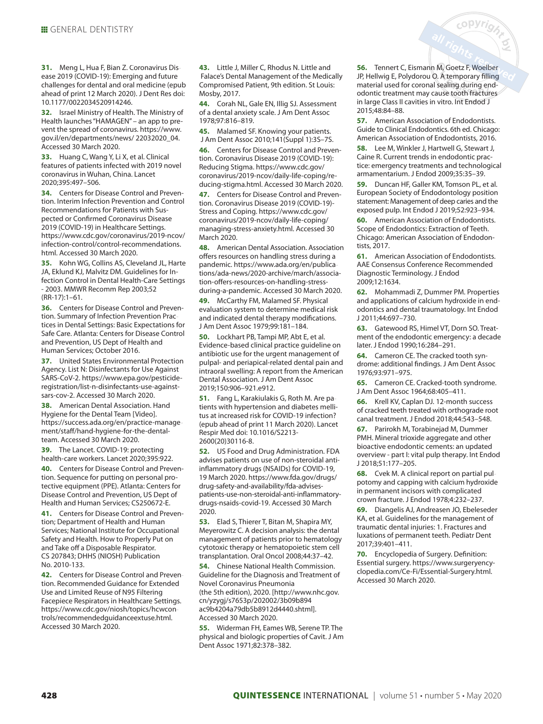**31.** Meng L, Hua F, Bian Z. Coronavirus Disease 2019 (COVID-19): Emerging and future challenges for dental and oral medicine (epub ahead of print 12 March 2020). J Dent Res doi: 10.1177/0022034520914246.

**32.** Israel Ministry of Health. The Ministry of Health launches "HAMAGEN" – an app to prevent the spread of coronavirus. https://www. gov.il/en/departments/news/ 22032020\_04. Accessed 30 March 2020.

**33.** Huang C, Wang Y, Li X, et al. Clinical features of patients infected with 2019 novel coronavirus in Wuhan, China. Lancet 2020;395:497–506.

**34.** Centers for Disease Control and Prevention. Interim Infection Prevention and Control Recommendations for Patients with Suspected or Confirmed Coronavirus Disease 2019 (COVID-19) in Healthcare Settings. https://www.cdc.gov/coronavirus/2019-ncov/ infection-control/control-recommendations. html. Accessed 30 March 2020.

**35.** Kohn WG, Collins AS, Cleveland JL, Harte JA, Eklund KJ, Malvitz DM. Guidelines for Infection Control in Dental Health-Care Settings - 2003. MMWR Recomm Rep 2003;52 (RR-17):1–61.

**36.** Centers for Disease Control and Prevention. Summary of Infection Prevention Practices in Dental Settings: Basic Expectations for Safe Care. Atlanta: Centers for Disease Control and Prevention, US Dept of Health and Human Services; October 2016.

**37.** United States Environmental Protection Agency. List N: Disinfectants for Use Against SARS-CoV-2. https://www.epa.gov/pesticideregistration/list-n-disinfectants-use-againstsars-cov-2. Accessed 30 March 2020.

**38.** American Dental Association. Hand Hygiene for the Dental Team [Video]. https://success.ada.org/en/practice-management/staff/hand-hygiene-for-the-dentalteam. Accessed 30 March 2020.

**39.** The Lancet. COVID-19: protecting health-care workers. Lancet 2020;395:922.

**40.** Centers for Disease Control and Prevention. Sequence for putting on personal protective equipment (PPE). Atlanta: Centers for Disease Control and Prevention, US Dept of Health and Human Services; CS250672-E.

**41.** Centers for Disease Control and Prevention; Department of Health and Human Services; National Institute for Occupational Safety and Health. How to Properly Put on and Take off a Disposable Respirator. CS 207843; DHHS (NIOSH) Publication No. 2010-133.

**42.** Centers for Disease Control and Prevention. Recommended Guidance for Extended Use and Limited Reuse of N95 Filtering Facepiece Respirators in Healthcare Settings. https://www.cdc.gov/niosh/topics/hcwcontrols/recommendedguidanceextuse.html. Accessed 30 March 2020.

**43.** Little J, Miller C, Rhodus N. Little and Falace's Dental Management of the Medically Compromised Patient, 9th edition. St Louis: Mosby, 2017.

**44.** Corah NL, Gale EN, Illig SJ. Assessment of a dental anxiety scale. J Am Dent Assoc 1978;97:816–819.

**45.** Malamed SF. Knowing your patients. J Am Dent Assoc 2010;141(Suppl 1):3S–7S.

**46.** Centers for Disease Control and Prevention. Coronavirus Disease 2019 (COVID-19): Reducing Stigma. https://www.cdc.gov/ coronavirus/2019-ncov/daily-life-coping/reducing-stigma.html. Accessed 30 March 2020.

**47.** Centers for Disease Control and Prevention. Coronavirus Disease 2019 (COVID-19)- Stress and Coping. https://www.cdc.gov/ coronavirus/2019-ncov/daily-life-coping/ managing-stress-anxiety.html. Accessed 30 March 2020.

**48.** American Dental Association. Association offers resources on handling stress during a pandemic. https://www.ada.org/en/publications/ada-news/2020-archive/march/association-offers-resources-on-handling-stressduring-a-pandemic. Accessed 30 March 2020.

**49.** McCarthy FM, Malamed SF. Physical evaluation system to determine medical risk and indicated dental therapy modifications. J Am Dent Assoc 1979;99:181–184.

**50.** Lockhart PB, Tampi MP, Abt E, et al. Evidence-based clinical practice guideline on antibiotic use for the urgent management of pulpal- and periapical-related dental pain and intraoral swelling: A report from the American Dental Association. J Am Dent Assoc 2019;150:906–921.e912.

**51.** Fang L, Karakiulakis G, Roth M. Are patients with hypertension and diabetes mellitus at increased risk for COVID-19 infection? (epub ahead of print 11 March 2020). Lancet Respir Med doi: 10.1016/S2213- 2600(20)30116-8.

**52.** US Food and Drug Administration. FDA advises patients on use of non-steroidal antiinflammatory drugs (NSAIDs) for COVID-19, 19 March 2020. https://www.fda.gov/drugs/ drug-safety-and-availability/fda-advisespatients-use-non-steroidal-anti-inflammatorydrugs-nsaids-covid-19. Accessed 30 March 2020.

**53.** Elad S, Thierer T, Bitan M, Shapira MY, Meyerowitz C. A decision analysis: the dental management of patients prior to hematology cytotoxic therapy or hematopoietic stem cell transplantation. Oral Oncol 2008;44:37–42.

**54.** Chinese National Health Commission. Guideline for the Diagnosis and Treatment of Novel Coronavirus Pneumonia

(the 5th edition), 2020. [http://www.nhc.gov. cn/yzygj/s7653p/202002/3b09b894 ac9b4204a79db5b8912d4440.shtml]. Accessed 30 March 2020.

**55.** Widerman FH, Eames WB, Serene TP. The physical and biologic properties of Cavit. J Am Dent Assoc 1971;82:378–382.

**56.** Tennert C, Eismann M, Goetz F, Woelber JP, Hellwig E, Polydorou O. A temporary filling material used for coronal sealing during endodontic treatment may cause tooth fractures in large Class II cavities in vitro. Int Endod J 2015;48:84–88.

copyrig

**57.** American Association of Endodontists. Guide to Clinical Endodontics. 6th ed. Chicago: American Association of Endodontists, 2016.

**58.** Lee M, Winkler J, Hartwell G, Stewart J, Caine R. Current trends in endodontic practice: emergency treatments and technological armamentarium. J Endod 2009;35:35–39.

**59.** Duncan HF, Galler KM, Tomson PL, et al. European Society of Endodontology position statement: Management of deep caries and the exposed pulp. Int Endod J 2019;52:923–934.

**60.** American Association of Endodontists. Scope of Endodontics: Extraction of Teeth. Chicago: American Association of Endodontists, 2017.

**61.** American Association of Endodontists. AAE Consensus Conference Recommended Diagnostic Terminology. J Endod 2009;12:1634.

**62.** Mohammadi Z, Dummer PM. Properties and applications of calcium hydroxide in endodontics and dental traumatology. Int Endod J 2011;44:697–730.

**63.** Gatewood RS, Himel VT, Dorn SO. Treatment of the endodontic emergency: a decade later. J Endod 1990;16:284–291.

**64.** Cameron CE. The cracked tooth syndrome: additional findings. J Am Dent Assoc 1976;93:971–975.

**65.** Cameron CE. Cracked-tooth syndrome. J Am Dent Assoc 1964;68:405–411.

**66.** Krell KV, Caplan DJ. 12-month success of cracked teeth treated with orthograde root canal treatment. J Endod 2018;44:543–548.

**67.** Parirokh M, Torabinejad M, Dummer PMH. Mineral trioxide aggregate and other bioactive endodontic cements: an updated overview - part I: vital pulp therapy. Int Endod J 2018;51:177–205.

**68.** Cvek M. A clinical report on partial pulpotomy and capping with calcium hydroxide in permanent incisors with complicated crown fracture. J Endod 1978;4:232–237.

**69.** Diangelis AJ, Andreasen JO, Ebeleseder KA, et al. Guidelines for the management of traumatic dental injuries: 1. Fractures and luxations of permanent teeth. Pediatr Dent 2017;39:401–411.

**70.** Encyclopedia of Surgery. Definition: Essential surgery. https://www.surgeryencyclopedia.com/Ce-Fi/Essential-Surgery.html. Accessed 30 March 2020.